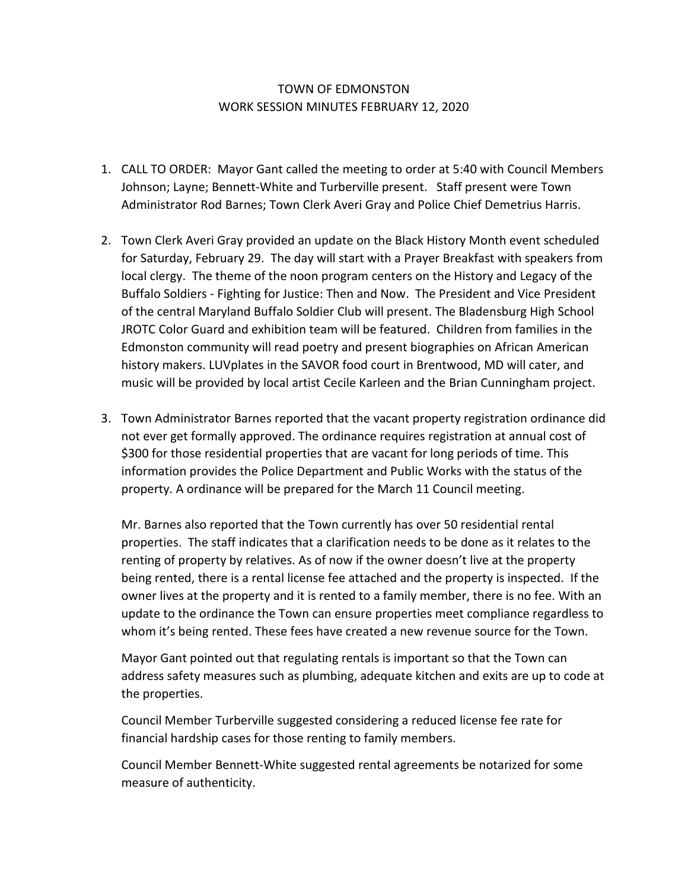## TOWN OF EDMONSTON WORK SESSION MINUTES FEBRUARY 12, 2020

- 1. CALL TO ORDER: Mayor Gant called the meeting to order at 5:40 with Council Members Johnson; Layne; Bennett-White and Turberville present. Staff present were Town Administrator Rod Barnes; Town Clerk Averi Gray and Police Chief Demetrius Harris.
- 2. Town Clerk Averi Gray provided an update on the Black History Month event scheduled for Saturday, February 29. The day will start with a Prayer Breakfast with speakers from local clergy. The theme of the noon program centers on the History and Legacy of the Buffalo Soldiers - Fighting for Justice: Then and Now. The President and Vice President of the central Maryland Buffalo Soldier Club will present. The Bladensburg High School JROTC Color Guard and exhibition team will be featured. Children from families in the Edmonston community will read poetry and present biographies on African American history makers. LUVplates in the SAVOR food court in Brentwood, MD will cater, and music will be provided by local artist Cecile Karleen and the Brian Cunningham project.
- 3. Town Administrator Barnes reported that the vacant property registration ordinance did not ever get formally approved. The ordinance requires registration at annual cost of \$300 for those residential properties that are vacant for long periods of time. This information provides the Police Department and Public Works with the status of the property. A ordinance will be prepared for the March 11 Council meeting.

Mr. Barnes also reported that the Town currently has over 50 residential rental properties. The staff indicates that a clarification needs to be done as it relates to the renting of property by relatives. As of now if the owner doesn't live at the property being rented, there is a rental license fee attached and the property is inspected. If the owner lives at the property and it is rented to a family member, there is no fee. With an update to the ordinance the Town can ensure properties meet compliance regardless to whom it's being rented. These fees have created a new revenue source for the Town.

Mayor Gant pointed out that regulating rentals is important so that the Town can address safety measures such as plumbing, adequate kitchen and exits are up to code at the properties.

Council Member Turberville suggested considering a reduced license fee rate for financial hardship cases for those renting to family members.

Council Member Bennett-White suggested rental agreements be notarized for some measure of authenticity.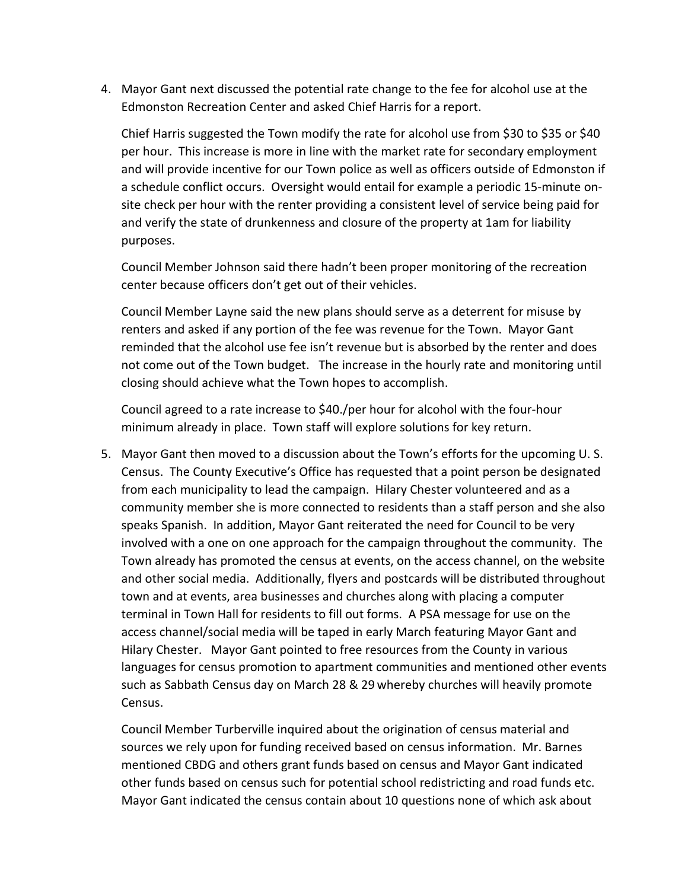4. Mayor Gant next discussed the potential rate change to the fee for alcohol use at the Edmonston Recreation Center and asked Chief Harris for a report.

Chief Harris suggested the Town modify the rate for alcohol use from \$30 to \$35 or \$40 per hour. This increase is more in line with the market rate for secondary employment and will provide incentive for our Town police as well as officers outside of Edmonston if a schedule conflict occurs. Oversight would entail for example a periodic 15-minute onsite check per hour with the renter providing a consistent level of service being paid for and verify the state of drunkenness and closure of the property at 1am for liability purposes.

Council Member Johnson said there hadn't been proper monitoring of the recreation center because officers don't get out of their vehicles.

Council Member Layne said the new plans should serve as a deterrent for misuse by renters and asked if any portion of the fee was revenue for the Town. Mayor Gant reminded that the alcohol use fee isn't revenue but is absorbed by the renter and does not come out of the Town budget. The increase in the hourly rate and monitoring until closing should achieve what the Town hopes to accomplish.

Council agreed to a rate increase to \$40./per hour for alcohol with the four-hour minimum already in place. Town staff will explore solutions for key return.

5. Mayor Gant then moved to a discussion about the Town's efforts for the upcoming U. S. Census. The County Executive's Office has requested that a point person be designated from each municipality to lead the campaign. Hilary Chester volunteered and as a community member she is more connected to residents than a staff person and she also speaks Spanish. In addition, Mayor Gant reiterated the need for Council to be very involved with a one on one approach for the campaign throughout the community. The Town already has promoted the census at events, on the access channel, on the website and other social media. Additionally, flyers and postcards will be distributed throughout town and at events, area businesses and churches along with placing a computer terminal in Town Hall for residents to fill out forms. A PSA message for use on the access channel/social media will be taped in early March featuring Mayor Gant and Hilary Chester. Mayor Gant pointed to free resources from the County in various languages for census promotion to apartment communities and mentioned other events such as Sabbath Census day on March 28 & 29 whereby churches will heavily promote Census.

Council Member Turberville inquired about the origination of census material and sources we rely upon for funding received based on census information. Mr. Barnes mentioned CBDG and others grant funds based on census and Mayor Gant indicated other funds based on census such for potential school redistricting and road funds etc. Mayor Gant indicated the census contain about 10 questions none of which ask about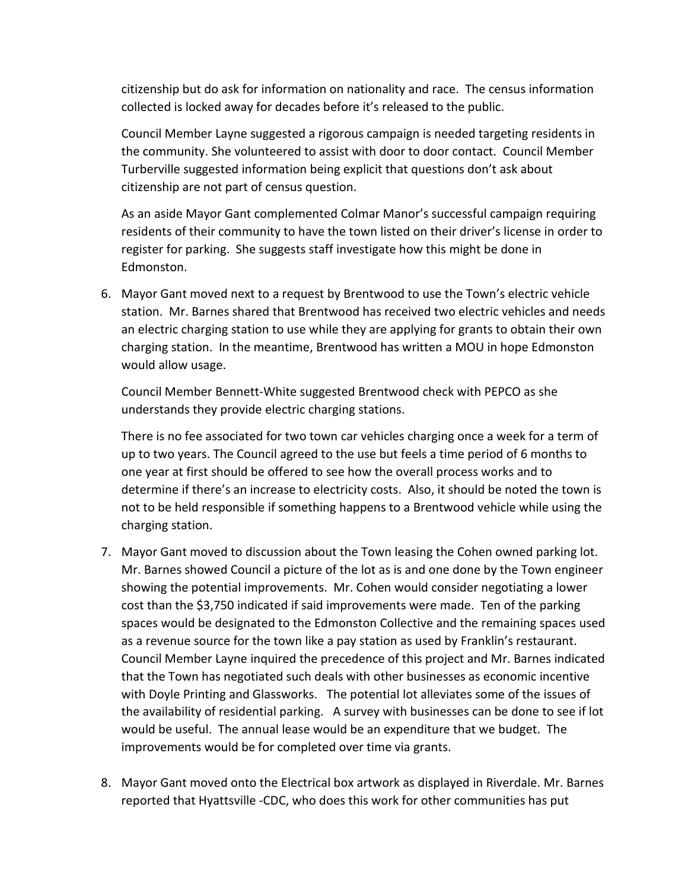citizenship but do ask for information on nationality and race. The census information collected is locked away for decades before it's released to the public.

Council Member Layne suggested a rigorous campaign is needed targeting residents in the community. She volunteered to assist with door to door contact. Council Member Turberville suggested information being explicit that questions don't ask about citizenship are not part of census question.

As an aside Mayor Gant complemented Colmar Manor's successful campaign requiring residents of their community to have the town listed on their driver's license in order to register for parking. She suggests staff investigate how this might be done in Edmonston.

6. Mayor Gant moved next to a request by Brentwood to use the Town's electric vehicle station. Mr. Barnes shared that Brentwood has received two electric vehicles and needs an electric charging station to use while they are applying for grants to obtain their own charging station. In the meantime, Brentwood has written a MOU in hope Edmonston would allow usage.

Council Member Bennett-White suggested Brentwood check with PEPCO as she understands they provide electric charging stations.

There is no fee associated for two town car vehicles charging once a week for a term of up to two years. The Council agreed to the use but feels a time period of 6 months to one year at first should be offered to see how the overall process works and to determine if there's an increase to electricity costs. Also, it should be noted the town is not to be held responsible if something happens to a Brentwood vehicle while using the charging station.

- 7. Mayor Gant moved to discussion about the Town leasing the Cohen owned parking lot. Mr. Barnes showed Council a picture of the lot as is and one done by the Town engineer showing the potential improvements. Mr. Cohen would consider negotiating a lower cost than the \$3,750 indicated if said improvements were made. Ten of the parking spaces would be designated to the Edmonston Collective and the remaining spaces used as a revenue source for the town like a pay station as used by Franklin's restaurant. Council Member Layne inquired the precedence of this project and Mr. Barnes indicated that the Town has negotiated such deals with other businesses as economic incentive with Doyle Printing and Glassworks. The potential lot alleviates some of the issues of the availability of residential parking. A survey with businesses can be done to see if lot would be useful. The annual lease would be an expenditure that we budget. The improvements would be for completed over time via grants.
- 8. Mayor Gant moved onto the Electrical box artwork as displayed in Riverdale. Mr. Barnes reported that Hyattsville -CDC, who does this work for other communities has put